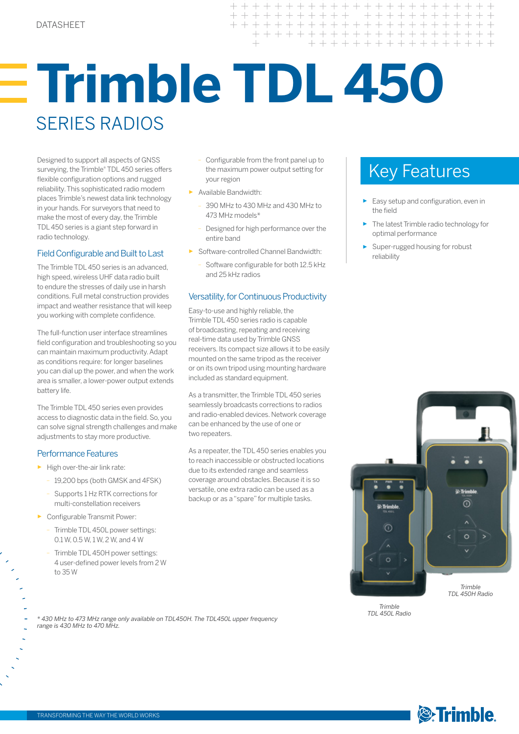# **Trimble TDL 450**  SERIES RADIOS

 $\overline{+}$  $\ddot{}$  $+$  $+ +$ 

 $\overline{\phantom{0}}$  $\pm$   $\pm$  $\!+$  $\!+$  $+$ 

Designed to support all aspects of GNSS surveying, the Trimble® TDL 450 series offers flexible configuration options and rugged reliability. This sophisticated radio modem places Trimble's newest data link technology in your hands. For surveyors that need to make the most of every day, the Trimble TDL 450 series is a giant step forward in radio technology.

#### Field Configurable and Built to Last

The Trimble TDL 450 series is an advanced, high speed, wireless UHF data radio built to endure the stresses of daily use in harsh conditions. Full metal construction provides impact and weather resistance that will keep you working with complete confidence.

The full-function user interface streamlines field configuration and troubleshooting so you can maintain maximum productivity. Adapt as conditions require: for longer baselines you can dial up the power, and when the work area is smaller, a lower-power output extends battery life.

The Trimble TDL 450 series even provides access to diagnostic data in the field. So, you can solve signal strength challenges and make adjustments to stay more productive.

#### Performance Features

- ► High over-the-air link rate:
	- 19,200 bps (both GMSK and 4FSK)
	- Supports 1 Hz RTK corrections for multi-constellation receivers
- ► Configurable Transmit Power:
	- Trimble TDL 450L power settings: 0.1 W, 0.5 W, 1 W, 2 W, and 4 W
	- Trimble TDL 450H power settings: 4 user-defined power levels from 2 W to 35 W

– Configurable from the front panel up to the maximum power output setting for vour region

 $+$ 

 $+ + + + + +$ 

 $+ + + + +$ 

 $\perp$  $\perp$  $\perp$ 

 $+$ 

 $++$ 

 $+$ 

+ + + + + + + +

+ + + + + + + +

+ + + + + + + + +

 $+$ 

- ► Available Bandwidth:
	- 390 MHz to 430 MHz and 430 MHz to 473 MHz models\*
	- Designed for high performance over the entire band
- ► Software-controlled Channel Bandwidth:
	- Software configurable for both 12.5 kHz and 25 kHz radios

## Versatility, for Continuous Productivity

Easy-to-use and highly reliable, the Trimble TDL450 series radio is capable of broadcasting, repeating and receiving real-time data used by Trimble GNSS receivers. Its compact size allows it to be easily mounted on the same tripod as the receiver or on its own tripod using mounting hardware included as standard equipment.

As a transmitter, the Trimble TDL 450 series seamlessly broadcasts corrections to radios and radio-enabled devices. Network coverage can be enhanced by the use of one or two repeaters.

As a repeater, the TDL 450 series enables you to reach inaccessible or obstructed locations due to its extended range and seamless coverage around obstacles. Because it is so versatile, one extra radio can be used as a backup or as a "spare" for multiple tasks.

# Key Features

- ► Easy setup and configuration, even in the field
- The latest Trimble radio technology for optimal performance
- Super-rugged housing for robust reliability



*Trimble TDL 450L Radio*

*\* 430 MHz to 473 MHz range only available on TDL450H. The TDL450L upper frequency range is 430 MHz to 470 MHz.*